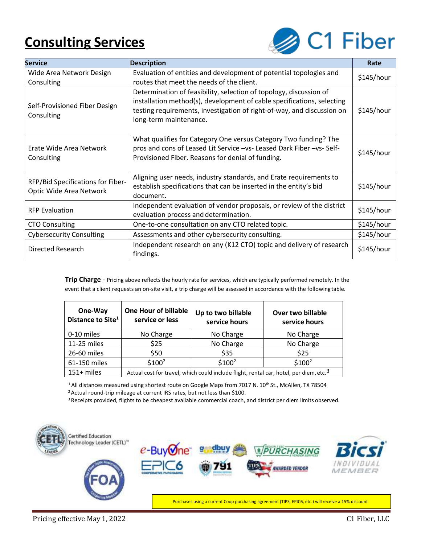## **Consulting Services**



| <b>Service</b>                                                                                                                                                                                                       | <b>Description</b>                                                                                                                                                                                                                               | Rate       |
|----------------------------------------------------------------------------------------------------------------------------------------------------------------------------------------------------------------------|--------------------------------------------------------------------------------------------------------------------------------------------------------------------------------------------------------------------------------------------------|------------|
| Wide Area Network Design<br>Consulting                                                                                                                                                                               | Evaluation of entities and development of potential topologies and<br>routes that meet the needs of the client.                                                                                                                                  | \$145/hour |
| Self-Provisioned Fiber Design<br>Consulting                                                                                                                                                                          | Determination of feasibility, selection of topology, discussion of<br>installation method(s), development of cable specifications, selecting<br>testing requirements, investigation of right-of-way, and discussion on<br>long-term maintenance. | \$145/hour |
| Erate Wide Area Network<br>Consulting                                                                                                                                                                                | What qualifies for Category One versus Category Two funding? The<br>pros and cons of Leased Lit Service -vs- Leased Dark Fiber -vs- Self-<br>Provisioned Fiber. Reasons for denial of funding.                                                   | \$145/hour |
| Aligning user needs, industry standards, and Erate requirements to<br>RFP/Bid Specifications for Fiber-<br>establish specifications that can be inserted in the entity's bid<br>Optic Wide Area Network<br>document. |                                                                                                                                                                                                                                                  | \$145/hour |
| <b>RFP Evaluation</b>                                                                                                                                                                                                | Independent evaluation of vendor proposals, or review of the district<br>evaluation process and determination.                                                                                                                                   | \$145/hour |
| <b>CTO Consulting</b>                                                                                                                                                                                                | One-to-one consultation on any CTO related topic.                                                                                                                                                                                                | \$145/hour |
| <b>Cybersecurity Consulting</b>                                                                                                                                                                                      | Assessments and other cybersecurity consulting.                                                                                                                                                                                                  | \$145/hour |
| Independent research on any (K12 CTO) topic and delivery of research<br>Directed Research<br>findings.                                                                                                               |                                                                                                                                                                                                                                                  | \$145/hour |

**Trip Charge** - Pricing above reflects the hourly rate for services, which are typically performed remotely. In the event that a client requests an on-site visit, a trip charge will be assessed in accordance with the followingtable.

| One-Way<br>Distance to Site <sup>1</sup> | <b>One Hour of billable</b><br>service or less                                                     | Up to two billable<br>service hours | Over two billable<br>service hours |  |
|------------------------------------------|----------------------------------------------------------------------------------------------------|-------------------------------------|------------------------------------|--|
| 0-10 miles                               | No Charge                                                                                          | No Charge                           | No Charge                          |  |
| 11-25 miles                              | \$25                                                                                               | No Charge                           | No Charge                          |  |
| 26-60 miles                              | \$50                                                                                               | \$35                                | \$25                               |  |
| 61-150 miles                             | $$100^2$                                                                                           | \$100 <sup>2</sup>                  | \$100 <sup>2</sup>                 |  |
| $151+$ miles                             | Actual cost for travel, which could include flight, rental car, hotel, per diem, etc. <sup>3</sup> |                                     |                                    |  |

<sup>1</sup> All distances measured using shortest route on Google Maps from 7017 N. 10<sup>th</sup> St., McAllen, TX 78504 <sup>2</sup> Actual round-trip mileage at current IRS rates, but not less than \$100.

<sup>3</sup> Receipts provided, flights to be cheapest available commercial coach, and district per diem limits observed.



Purchases using a current Coop purchasing agreement (TIPS, EPIC6, etc.) will receive a 15% discount